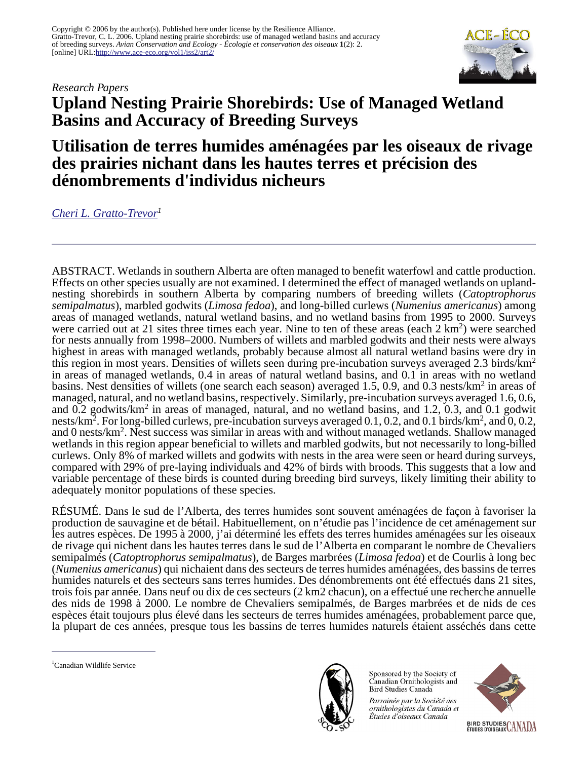*Research Papers*



# **Upland Nesting Prairie Shorebirds: Use of Managed Wetland Basins and Accuracy of Breeding Surveys**

# **Utilisation de terres humides aménagées par les oiseaux de rivage des prairies nichant dans les hautes terres et précision des dénombrements d'individus nicheurs**

*[Cheri L. Gratto-Trevor](mailto:cheri.gratto-trevor@ec.gc.ca)<sup>1</sup>*

ABSTRACT. Wetlands in southern Alberta are often managed to benefit waterfowl and cattle production. Effects on other species usually are not examined. I determined the effect of managed wetlands on uplandnesting shorebirds in southern Alberta by comparing numbers of breeding willets (*Catoptrophorus semipalmatus*), marbled godwits (*Limosa fedoa*), and long-billed curlews (*Numenius americanus*) among areas of managed wetlands, natural wetland basins, and no wetland basins from 1995 to 2000. Surveys were carried out at 21 sites three times each year. Nine to ten of these areas (each 2 km<sup>2</sup>) were searched for nests annually from 1998–2000. Numbers of willets and marbled godwits and their nests were always highest in areas with managed wetlands, probably because almost all natural wetland basins were dry in this region in most years. Densities of willets seen during pre-incubation surveys averaged 2.3 birds/km<sup>2</sup> in areas of managed wetlands, 0.4 in areas of natural wetland basins, and 0.1 in areas with no wetland basins. Nest densities of willets (one search each season) averaged 1.5, 0.9, and 0.3 nests/km<sup>2</sup> in areas of managed, natural, and no wetland basins, respectively. Similarly, pre-incubation surveys averaged 1.6, 0.6, and 0.2 godwits/km<sup>2</sup> in areas of managed, natural, and no wetland basins, and 1.2, 0.3, and 0.1 godwit nests/km<sup>2</sup>. For long-billed curlews, pre-incubation surveys averaged 0.1, 0.2, and 0.1 birds/km<sup>2</sup>, and 0, 0.2, and 0 nests/km<sup>2</sup> . Nest success was similar in areas with and without managed wetlands. Shallow managed wetlands in this region appear beneficial to willets and marbled godwits, but not necessarily to long-billed curlews. Only 8% of marked willets and godwits with nests in the area were seen or heard during surveys, compared with 29% of pre-laying individuals and 42% of birds with broods. This suggests that a low and variable percentage of these birds is counted during breeding bird surveys, likely limiting their ability to adequately monitor populations of these species.

RÉSUMÉ. Dans le sud de l'Alberta, des terres humides sont souvent aménagées de façon à favoriser la production de sauvagine et de bétail. Habituellement, on n'étudie pas l'incidence de cet aménagement sur les autres espèces. De 1995 à 2000, j'ai déterminé les effets des terres humides aménagées sur les oiseaux de rivage qui nichent dans les hautes terres dans le sud de l'Alberta en comparant le nombre de Chevaliers semipalmés (*Catoptrophorus semipalmatus*), de Barges marbrées (*Limosa fedoa*) et de Courlis à long bec (*Numenius americanus*) qui nichaient dans des secteurs de terres humides aménagées, des bassins de terres humides naturels et des secteurs sans terres humides. Des dénombrements ont été effectués dans 21 sites, trois fois par année. Dans neuf ou dix de ces secteurs (2 km2 chacun), on a effectué une recherche annuelle des nids de 1998 à 2000. Le nombre de Chevaliers semipalmés, de Barges marbrées et de nids de ces espèces était toujours plus élevé dans les secteurs de terres humides aménagées, probablement parce que, la plupart de ces années, presque tous les bassins de terres humides naturels étaient asséchés dans cette

<sup>1</sup>Canadian Wildlife Service



Sponsored by the Society of Canadian Ornithologists and Bird Studies Canada

Parrainée par la Société des ornithologistes du Canada et Études d'oiseaux Canada

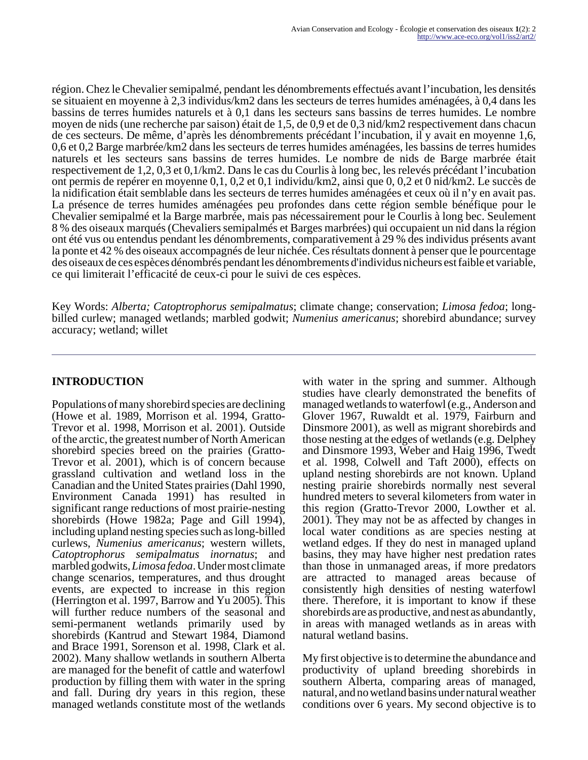région. Chez le Chevalier semipalmé, pendant les dénombrements effectués avant l'incubation, les densités se situaient en moyenne à 2,3 individus/km2 dans les secteurs de terres humides aménagées, à 0,4 dans les bassins de terres humides naturels et à 0,1 dans les secteurs sans bassins de terres humides. Le nombre moyen de nids (une recherche par saison) était de 1,5, de 0,9 et de 0,3 nid/km2 respectivement dans chacun de ces secteurs. De même, d'après les dénombrements précédant l'incubation, il y avait en moyenne 1,6, 0,6 et 0,2 Barge marbrée/km2 dans les secteurs de terres humides aménagées, les bassins de terres humides naturels et les secteurs sans bassins de terres humides. Le nombre de nids de Barge marbrée était respectivement de 1,2, 0,3 et 0,1/km2. Dans le cas du Courlis à long bec, les relevés précédant l'incubation ont permis de repérer en moyenne 0,1, 0,2 et 0,1 individu/km2, ainsi que 0, 0,2 et 0 nid/km2. Le succès de la nidification était semblable dans les secteurs de terres humides aménagées et ceux où il n'y en avait pas. La présence de terres humides aménagées peu profondes dans cette région semble bénéfique pour le Chevalier semipalmé et la Barge marbrée, mais pas nécessairement pour le Courlis à long bec. Seulement 8 % des oiseaux marqués (Chevaliers semipalmés et Barges marbrées) qui occupaient un nid dans la région ont été vus ou entendus pendant les dénombrements, comparativement à 29 % des individus présents avant la ponte et 42 % des oiseaux accompagnés de leur nichée. Ces résultats donnent à penser que le pourcentage des oiseaux de ces espèces dénombrés pendant les dénombrements d'individus nicheurs est faible et variable, ce qui limiterait l'efficacité de ceux-ci pour le suivi de ces espèces.

Key Words: *Alberta; Catoptrophorus semipalmatus*; climate change; conservation; *Limosa fedoa*; longbilled curlew; managed wetlands; marbled godwit; *Numenius americanus*; shorebird abundance; survey accuracy; wetland; willet

# **INTRODUCTION**

Populations of many shorebird species are declining (Howe et al. 1989, Morrison et al. 1994, Gratto-Trevor et al. 1998, Morrison et al. 2001). Outside of the arctic, the greatest number of North American shorebird species breed on the prairies (Gratto-Trevor et al. 2001), which is of concern because grassland cultivation and wetland loss in the Canadian and the United States prairies (Dahl 1990, Environment Canada 1991) has resulted in significant range reductions of most prairie-nesting shorebirds (Howe 1982a; Page and Gill 1994), including upland nesting species such as long-billed curlews, *Numenius americanus*; western willets, *Catoptrophorus semipalmatus inornatus*; and marbled godwits, *Limosa fedoa*. Under most climate change scenarios, temperatures, and thus drought events, are expected to increase in this region (Herrington et al. 1997, Barrow and Yu 2005). This will further reduce numbers of the seasonal and semi-permanent wetlands primarily used by shorebirds (Kantrud and Stewart 1984, Diamond and Brace 1991, Sorenson et al. 1998, Clark et al. 2002). Many shallow wetlands in southern Alberta are managed for the benefit of cattle and waterfowl production by filling them with water in the spring and fall. During dry years in this region, these managed wetlands constitute most of the wetlands

with water in the spring and summer. Although studies have clearly demonstrated the benefits of managed wetlands to waterfowl (e.g., Anderson and Glover 1967, Ruwaldt et al. 1979, Fairburn and Dinsmore 2001), as well as migrant shorebirds and those nesting at the edges of wetlands (e.g. Delphey and Dinsmore 1993, Weber and Haig 1996, Twedt et al. 1998, Colwell and Taft 2000), effects on upland nesting shorebirds are not known. Upland nesting prairie shorebirds normally nest several hundred meters to several kilometers from water in this region (Gratto-Trevor 2000, Lowther et al. 2001). They may not be as affected by changes in local water conditions as are species nesting at wetland edges. If they do nest in managed upland basins, they may have higher nest predation rates than those in unmanaged areas, if more predators are attracted to managed areas because of consistently high densities of nesting waterfowl there. Therefore, it is important to know if these shorebirds are as productive, and nest as abundantly, in areas with managed wetlands as in areas with natural wetland basins.

My first objective is to determine the abundance and productivity of upland breeding shorebirds in southern Alberta, comparing areas of managed, natural, and no wetland basins under natural weather conditions over 6 years. My second objective is to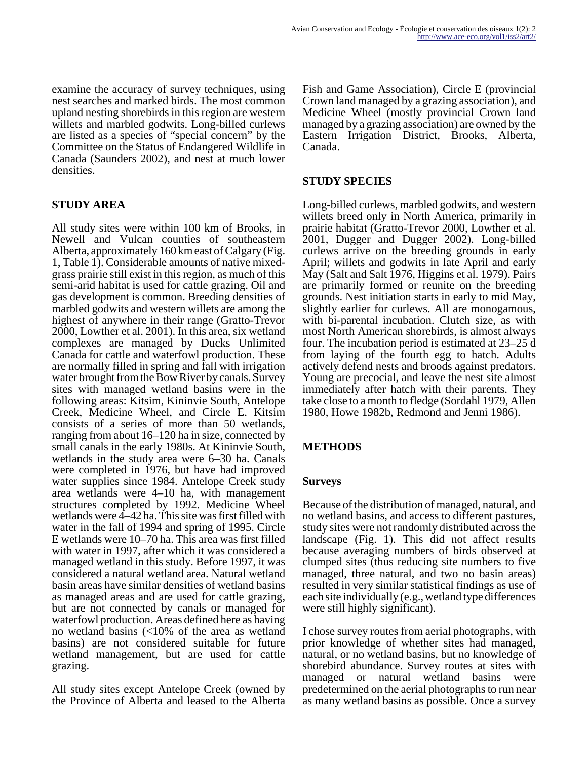examine the accuracy of survey techniques, using nest searches and marked birds. The most common upland nesting shorebirds in this region are western willets and marbled godwits. Long-billed curlews are listed as a species of "special concern" by the Committee on the Status of Endangered Wildlife in Canada (Saunders 2002), and nest at much lower densities.

# **STUDY AREA**

All study sites were within 100 km of Brooks, in Newell and Vulcan counties of southeastern Alberta, approximately 160 km east of Calgary (Fig. 1, Table 1). Considerable amounts of native mixedgrass prairie still exist in this region, as much of this semi-arid habitat is used for cattle grazing. Oil and gas development is common. Breeding densities of marbled godwits and western willets are among the highest of anywhere in their range (Gratto-Trevor 2000, Lowther et al. 2001). In this area, six wetland complexes are managed by Ducks Unlimited Canada for cattle and waterfowl production. These are normally filled in spring and fall with irrigation water brought from the Bow River by canals. Survey sites with managed wetland basins were in the following areas: Kitsim, Kininvie South, Antelope Creek, Medicine Wheel, and Circle E. Kitsim consists of a series of more than 50 wetlands, ranging from about 16–120 ha in size, connected by small canals in the early 1980s. At Kininvie South, wetlands in the study area were 6–30 ha. Canals were completed in 1976, but have had improved water supplies since 1984. Antelope Creek study area wetlands were 4–10 ha, with management structures completed by 1992. Medicine Wheel wetlands were 4–42 ha. This site was first filled with water in the fall of 1994 and spring of 1995. Circle E wetlands were 10–70 ha. This area was first filled with water in 1997, after which it was considered a managed wetland in this study. Before 1997, it was considered a natural wetland area. Natural wetland basin areas have similar densities of wetland basins as managed areas and are used for cattle grazing, but are not connected by canals or managed for waterfowl production. Areas defined here as having no wetland basins (<10% of the area as wetland basins) are not considered suitable for future wetland management, but are used for cattle grazing.

All study sites except Antelope Creek (owned by the Province of Alberta and leased to the Alberta Fish and Game Association), Circle E (provincial Crown land managed by a grazing association), and Medicine Wheel (mostly provincial Crown land managed by a grazing association) are owned by the Eastern Irrigation District, Brooks, Alberta, Canada.

# **STUDY SPECIES**

Long-billed curlews, marbled godwits, and western willets breed only in North America, primarily in prairie habitat (Gratto-Trevor 2000, Lowther et al. 2001, Dugger and Dugger 2002). Long-billed curlews arrive on the breeding grounds in early April; willets and godwits in late April and early May (Salt and Salt 1976, Higgins et al. 1979). Pairs are primarily formed or reunite on the breeding grounds. Nest initiation starts in early to mid May, slightly earlier for curlews. All are monogamous, with bi-parental incubation. Clutch size, as with most North American shorebirds, is almost always four. The incubation period is estimated at 23–25 d from laying of the fourth egg to hatch. Adults actively defend nests and broods against predators. Young are precocial, and leave the nest site almost immediately after hatch with their parents. They take close to a month to fledge (Sordahl 1979, Allen 1980, Howe 1982b, Redmond and Jenni 1986).

# **METHODS**

# **Surveys**

Because of the distribution of managed, natural, and no wetland basins, and access to different pastures, study sites were not randomly distributed across the landscape (Fig. 1). This did not affect results because averaging numbers of birds observed at clumped sites (thus reducing site numbers to five managed, three natural, and two no basin areas) resulted in very similar statistical findings as use of each site individually (e.g., wetland type differences were still highly significant).

I chose survey routes from aerial photographs, with prior knowledge of whether sites had managed, natural, or no wetland basins, but no knowledge of shorebird abundance. Survey routes at sites with managed or natural wetland basins were predetermined on the aerial photographs to run near as many wetland basins as possible. Once a survey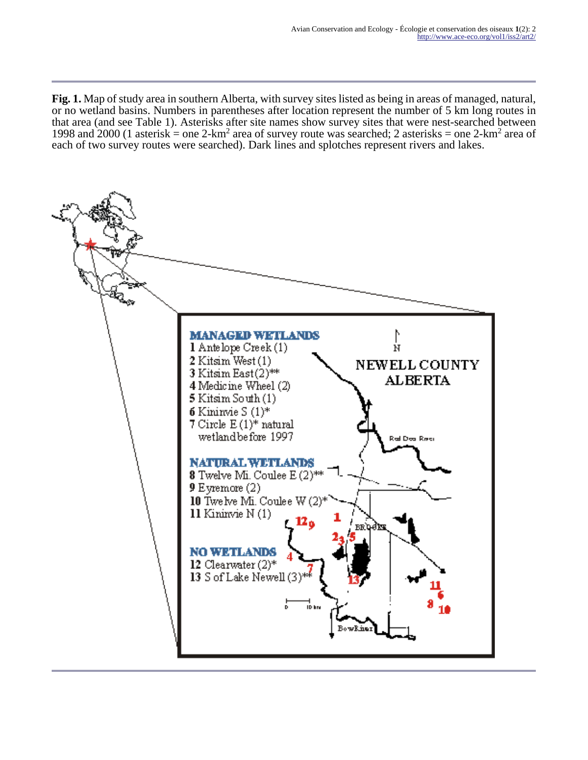**Fig. 1.** Map of study area in southern Alberta, with survey sites listed as being in areas of managed, natural, or no wetland basins. Numbers in parentheses after location represent the number of 5 km long routes in that area (and see Table 1). Asterisks after site names show survey sites that were nest-searched between 1998 and  $2000$  (1 asterisk = one  $2$ -km<sup>2</sup> area of survey route was searched; 2 asterisks = one  $2$ -km<sup>2</sup> area of each of two survey routes were searched). Dark lines and splotches represent rivers and lakes.

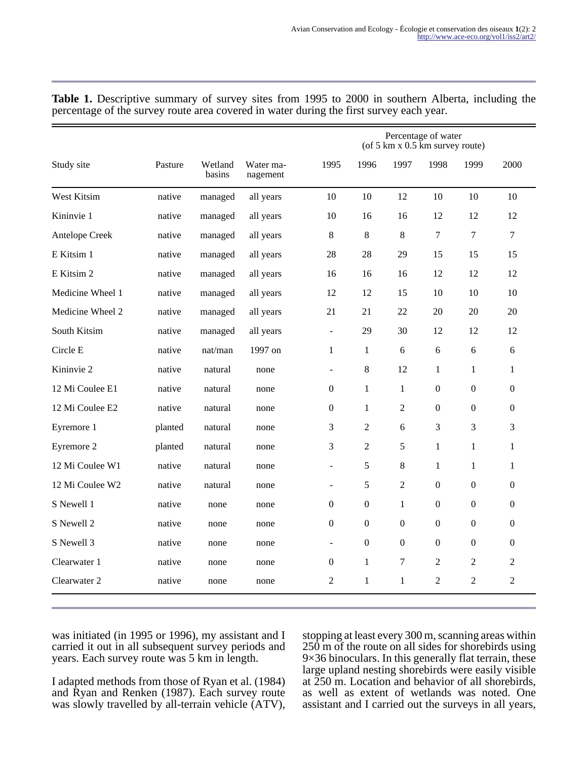|                  |         |                   |                       |                          | Percentage of water<br>(of $5 \text{ km } x$ 0.5 km survey route) |                  |                  |                  |                  |
|------------------|---------|-------------------|-----------------------|--------------------------|-------------------------------------------------------------------|------------------|------------------|------------------|------------------|
| Study site       | Pasture | Wetland<br>basins | Water ma-<br>nagement | 1995                     | 1996                                                              | 1997             | 1998             | 1999             | 2000             |
| West Kitsim      | native  | managed           | all years             | 10                       | 10                                                                | 12               | 10               | 10               | 10               |
| Kininvie 1       | native  | managed           | all years             | 10                       | 16                                                                | 16               | 12               | 12               | 12               |
| Antelope Creek   | native  | managed           | all years             | 8                        | $\,8\,$                                                           | $\,8\,$          | $\overline{7}$   | $\overline{7}$   | $\overline{7}$   |
| E Kitsim 1       | native  | managed           | all years             | 28                       | 28                                                                | 29               | 15               | 15               | 15               |
| E Kitsim 2       | native  | managed           | all years             | 16                       | 16                                                                | 16               | 12               | 12               | 12               |
| Medicine Wheel 1 | native  | managed           | all years             | 12                       | 12                                                                | 15               | 10               | 10               | 10               |
| Medicine Wheel 2 | native  | managed           | all years             | 21                       | 21                                                                | 22               | 20               | 20               | 20               |
| South Kitsim     | native  | managed           | all years             | $\overline{\phantom{a}}$ | 29                                                                | 30               | 12               | 12               | 12               |
| Circle E         | native  | nat/man           | 1997 on               | 1                        | $\mathbf{1}$                                                      | 6                | 6                | 6                | 6                |
| Kininvie 2       | native  | natural           | none                  | $\overline{a}$           | $\,8\,$                                                           | 12               | 1                | $\mathbf{1}$     | $\mathbf{1}$     |
| 12 Mi Coulee E1  | native  | natural           | none                  | $\mathbf{0}$             | $\mathbf{1}$                                                      | $\mathbf{1}$     | $\boldsymbol{0}$ | $\overline{0}$   | $\overline{0}$   |
| 12 Mi Coulee E2  | native  | natural           | none                  | $\mathbf{0}$             | 1                                                                 | $\overline{2}$   | $\boldsymbol{0}$ | $\overline{0}$   | $\overline{0}$   |
| Eyremore 1       | planted | natural           | none                  | 3                        | $\overline{2}$                                                    | 6                | 3                | 3                | 3                |
| Eyremore 2       | planted | natural           | none                  | 3                        | $\overline{2}$                                                    | 5                | $\mathbf{1}$     | $\mathbf{1}$     | $\mathbf{1}$     |
| 12 Mi Coulee W1  | native  | natural           | none                  | $\overline{a}$           | 5                                                                 | 8                | 1                | $\mathbf{1}$     | $\mathbf{1}$     |
| 12 Mi Coulee W2  | native  | natural           | none                  | $\sim$                   | 5                                                                 | $\mathfrak{2}$   | $\boldsymbol{0}$ | $\boldsymbol{0}$ | $\overline{0}$   |
| S Newell 1       | native  | none              | none                  | $\mathbf{0}$             | $\boldsymbol{0}$                                                  | $\mathbf{1}$     | $\boldsymbol{0}$ | $\overline{0}$   | $\overline{0}$   |
| S Newell 2       | native  | none              | none                  | 0                        | $\boldsymbol{0}$                                                  | $\boldsymbol{0}$ | $\mathbf{0}$     | $\overline{0}$   | $\overline{0}$   |
| S Newell 3       | native  | none              | none                  | $\blacksquare$           | $\mathbf{0}$                                                      | $\boldsymbol{0}$ | $\Omega$         | $\Omega$         | $\boldsymbol{0}$ |
| Clearwater 1     | native  | none              | none                  | $\mathbf{0}$             | 1                                                                 | 7                | $\overline{2}$   | $\overline{2}$   | $\overline{2}$   |
| Clearwater 2     | native  | none              | none                  | 2                        | 1                                                                 | $\mathbf{1}$     | $\overline{c}$   | $\overline{2}$   | $\overline{2}$   |

**Table 1.** Descriptive summary of survey sites from 1995 to 2000 in southern Alberta, including the percentage of the survey route area covered in water during the first survey each year.

was initiated (in 1995 or 1996), my assistant and I carried it out in all subsequent survey periods and years. Each survey route was 5 km in length.

I adapted methods from those of Ryan et al. (1984) and Ryan and Renken (1987). Each survey route was slowly travelled by all-terrain vehicle (ATV),

stopping at least every 300 m, scanning areas within 250 m of the route on all sides for shorebirds using 9×36 binoculars. In this generally flat terrain, these large upland nesting shorebirds were easily visible at 250 m. Location and behavior of all shorebirds, as well as extent of wetlands was noted. One assistant and I carried out the surveys in all years,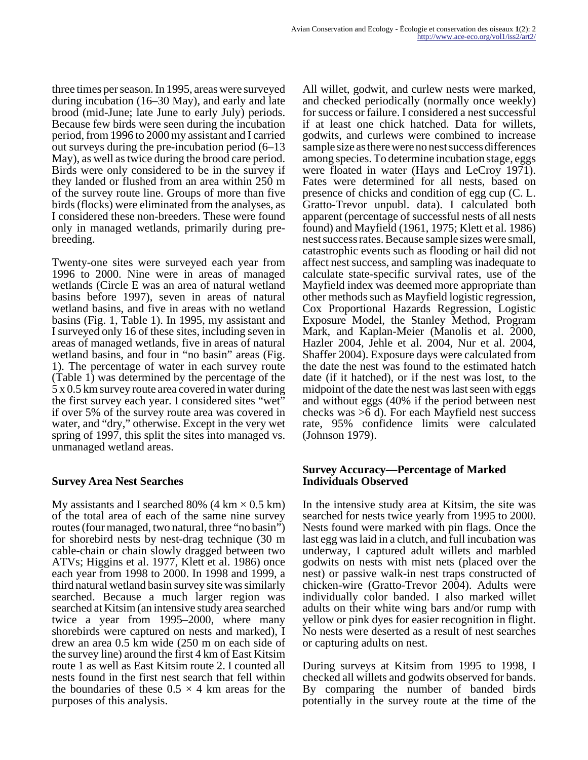three times per season. In 1995, areas were surveyed during incubation (16–30 May), and early and late brood (mid-June; late June to early July) periods. Because few birds were seen during the incubation period, from 1996 to 2000 my assistant and I carried out surveys during the pre-incubation period (6–13 May), as well as twice during the brood care period. Birds were only considered to be in the survey if they landed or flushed from an area within 250 m of the survey route line. Groups of more than five birds (flocks) were eliminated from the analyses, as I considered these non-breeders. These were found only in managed wetlands, primarily during prebreeding.

Twenty-one sites were surveyed each year from 1996 to 2000. Nine were in areas of managed wetlands (Circle E was an area of natural wetland basins before 1997), seven in areas of natural wetland basins, and five in areas with no wetland basins (Fig. 1, Table 1). In 1995, my assistant and I surveyed only 16 of these sites, including seven in areas of managed wetlands, five in areas of natural wetland basins, and four in "no basin" areas (Fig. 1). The percentage of water in each survey route (Table 1) was determined by the percentage of the 5 x 0.5 km survey route area covered in water during the first survey each year. I considered sites "wet" if over 5% of the survey route area was covered in water, and "dry," otherwise. Except in the very wet spring of 1997, this split the sites into managed vs. unmanaged wetland areas.

# **Survey Area Nest Searches**

My assistants and I searched 80% (4 km  $\times$  0.5 km) of the total area of each of the same nine survey routes (four managed, two natural, three "no basin") for shorebird nests by nest-drag technique (30 m cable-chain or chain slowly dragged between two ATVs; Higgins et al. 1977, Klett et al. 1986) once each year from 1998 to 2000. In 1998 and 1999, a third natural wetland basin survey site was similarly searched. Because a much larger region was searched at Kitsim (an intensive study area searched twice a year from 1995–2000, where many shorebirds were captured on nests and marked), I drew an area 0.5 km wide (250 m on each side of the survey line) around the first 4 km of East Kitsim route 1 as well as East Kitsim route 2. I counted all nests found in the first nest search that fell within the boundaries of these  $0.5 \times 4$  km areas for the purposes of this analysis.

All willet, godwit, and curlew nests were marked, and checked periodically (normally once weekly) for success or failure. I considered a nest successful if at least one chick hatched. Data for willets, godwits, and curlews were combined to increase sample size as there were no nest success differences among species. To determine incubation stage, eggs were floated in water (Hays and LeCroy 1971). Fates were determined for all nests, based on presence of chicks and condition of egg cup (C. L. Gratto-Trevor unpubl. data). I calculated both apparent (percentage of successful nests of all nests found) and Mayfield (1961, 1975; Klett et al. 1986) nest success rates. Because sample sizes were small, catastrophic events such as flooding or hail did not affect nest success, and sampling was inadequate to calculate state-specific survival rates, use of the Mayfield index was deemed more appropriate than other methods such as Mayfield logistic regression, Cox Proportional Hazards Regression, Logistic Exposure Model, the Stanley Method, Program Mark, and Kaplan-Meier (Manolis et al. 2000, Hazler 2004, Jehle et al. 2004, Nur et al. 2004, Shaffer 2004). Exposure days were calculated from the date the nest was found to the estimated hatch date (if it hatched), or if the nest was lost, to the midpoint of the date the nest was last seen with eggs and without eggs (40% if the period between nest checks was >6 d). For each Mayfield nest success rate, 95% confidence limits were calculated (Johnson 1979).

# **Survey Accuracy—Percentage of Marked Individuals Observed**

In the intensive study area at Kitsim, the site was searched for nests twice yearly from 1995 to 2000. Nests found were marked with pin flags. Once the last egg was laid in a clutch, and full incubation was underway, I captured adult willets and marbled godwits on nests with mist nets (placed over the nest) or passive walk-in nest traps constructed of chicken-wire (Gratto-Trevor 2004). Adults were individually color banded. I also marked willet adults on their white wing bars and/or rump with yellow or pink dyes for easier recognition in flight. No nests were deserted as a result of nest searches or capturing adults on nest.

During surveys at Kitsim from 1995 to 1998, I checked all willets and godwits observed for bands. By comparing the number of banded birds potentially in the survey route at the time of the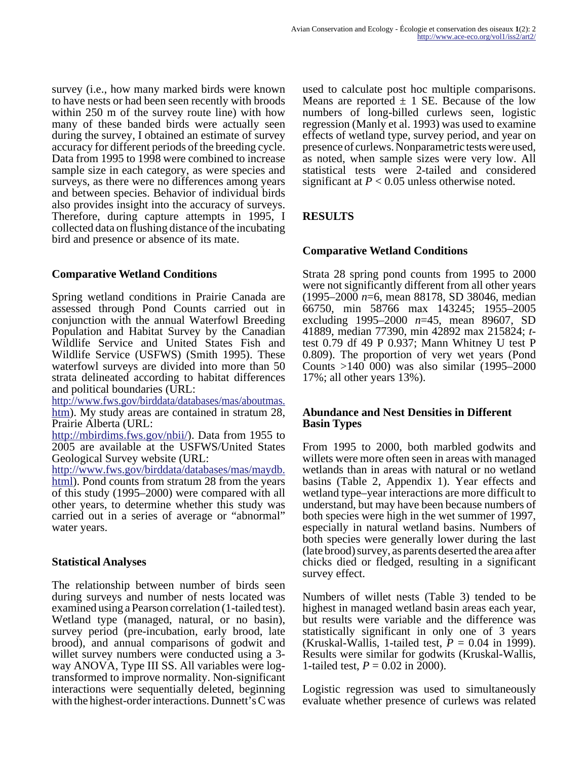survey (i.e., how many marked birds were known to have nests or had been seen recently with broods within 250 m of the survey route line) with how many of these banded birds were actually seen during the survey, I obtained an estimate of survey accuracy for different periods of the breeding cycle. Data from 1995 to 1998 were combined to increase sample size in each category, as were species and surveys, as there were no differences among years and between species. Behavior of individual birds also provides insight into the accuracy of surveys. Therefore, during capture attempts in 1995, I collected data on flushing distance of the incubating bird and presence or absence of its mate.

# **Comparative Wetland Conditions**

Spring wetland conditions in Prairie Canada are assessed through Pond Counts carried out in conjunction with the annual Waterfowl Breeding Population and Habitat Survey by the Canadian Wildlife Service and United States Fish and Wildlife Service (USFWS) (Smith 1995). These waterfowl surveys are divided into more than 50 strata delineated according to habitat differences and political boundaries (URL:

http://www.fws.gov/birddata/databases/mas/aboutmas. [htm\). My study areas are contained in stratum 28,](http://www.fws.gov/birddata/databases/mas/aboutmas.htm) Prairie Alberta (URL:

[http://mbirdims.fws.gov/nbii/\). Data from 1955 to](http://mbirdims.fws.gov/nbii/) 2005 are available at the USFWS/United States Geological Survey website (URL:

http://www.fws.gov/birddata/databases/mas/maydb. [html\). Pond counts from stratum 28 from the years](http://www.fws.gov/birddata/databases/mas/maydb.html) of this study (1995–2000) were compared with all other years, to determine whether this study was carried out in a series of average or "abnormal" water years.

# **Statistical Analyses**

The relationship between number of birds seen during surveys and number of nests located was examined using a Pearson correlation (1-tailed test). Wetland type (managed, natural, or no basin), survey period (pre-incubation, early brood, late brood), and annual comparisons of godwit and willet survey numbers were conducted using a 3way ANOVA, Type III SS. All variables were logtransformed to improve normality. Non-significant interactions were sequentially deleted, beginning with the highest-order interactions. Dunnett's C was

used to calculate post hoc multiple comparisons. Means are reported  $\pm$  1 SE. Because of the low numbers of long-billed curlews seen, logistic regression (Manly et al. 1993) was used to examine effects of wetland type, survey period, and year on presence of curlews. Nonparametric tests were used, as noted, when sample sizes were very low. All statistical tests were 2-tailed and considered significant at  $P < 0.05$  unless otherwise noted.

# **RESULTS**

# **Comparative Wetland Conditions**

Strata 28 spring pond counts from 1995 to 2000 were not significantly different from all other years (1995–2000 *n*=6, mean 88178, SD 38046, median 66750, min 58766 max 143245; 1955–2005 excluding 1995–2000 *n*=45, mean 89607, SD 41889, median 77390, min 42892 max 215824; *t*test 0.79 df 49 P 0.937; Mann Whitney U test P 0.809). The proportion of very wet years (Pond Counts >140 000) was also similar (1995–2000 17%; all other years 13%).

#### **Abundance and Nest Densities in Different Basin Types**

From 1995 to 2000, both marbled godwits and willets were more often seen in areas with managed wetlands than in areas with natural or no wetland basins (Table 2, Appendix 1). Year effects and wetland type–year interactions are more difficult to understand, but may have been because numbers of both species were high in the wet summer of 1997, especially in natural wetland basins. Numbers of both species were generally lower during the last (late brood) survey, as parents deserted the area after chicks died or fledged, resulting in a significant survey effect.

Numbers of willet nests (Table 3) tended to be highest in managed wetland basin areas each year, but results were variable and the difference was statistically significant in only one of 3 years (Kruskal-Wallis, 1-tailed test,  $P = 0.04$  in 1999). Results were similar for godwits (Kruskal-Wallis, 1-tailed test,  $P = 0.02$  in 2000).

Logistic regression was used to simultaneously evaluate whether presence of curlews was related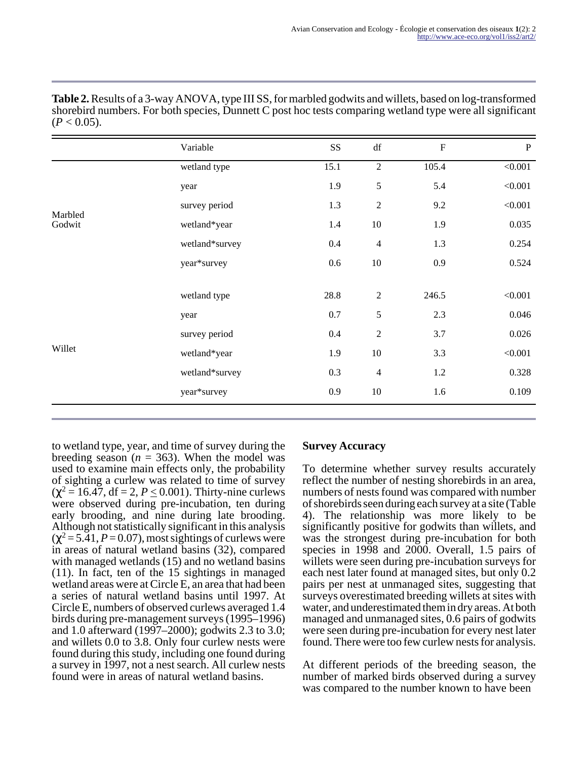|         | Variable       | SS   | $\mathrm{d}\mathrm{f}$ | $\boldsymbol{\mathrm{F}}$ | ${\bf P}$ |
|---------|----------------|------|------------------------|---------------------------|-----------|
|         | wetland type   | 15.1 | $\overline{2}$         | 105.4                     | < 0.001   |
|         | year           | 1.9  | 5                      | 5.4                       | < 0.001   |
| Marbled | survey period  | 1.3  | $\overline{2}$         | 9.2                       | < 0.001   |
| Godwit  | wetland*year   | 1.4  | $10\,$                 | 1.9                       | 0.035     |
|         | wetland*survey | 0.4  | $\overline{4}$         | 1.3                       | 0.254     |
|         | year*survey    | 0.6  | $10\,$                 | 0.9                       | 0.524     |
|         |                |      |                        |                           |           |
|         | wetland type   | 28.8 | $\overline{2}$         | 246.5                     | < 0.001   |
|         | year           | 0.7  | 5                      | 2.3                       | 0.046     |
|         | survey period  | 0.4  | $\overline{2}$         | 3.7                       | 0.026     |
| Willet  | wetland*year   | 1.9  | $10\,$                 | 3.3                       | < 0.001   |
|         | wetland*survey | 0.3  | $\overline{4}$         | 1.2                       | 0.328     |
|         | year*survey    | 0.9  | 10                     | 1.6                       | 0.109     |

**Table 2.** Results of a 3-way ANOVA, type III SS, for marbled godwits and willets, based on log-transformed shorebird numbers. For both species, Dunnett C post hoc tests comparing wetland type were all significant  $(P < 0.05)$ .

to wetland type, year, and time of survey during the breeding season ( $n = 363$ ). When the model was used to examine main effects only, the probability of sighting a curlew was related to time of survey  $(\chi^2 = 16.47, df = 2, P \le 0.001)$ . Thirty-nine curlews were observed during pre-incubation, ten during early brooding, and nine during late brooding. Although not statistically significant in this analysis  $(\chi^2 = 5.41, P = 0.07)$ , most sightings of curlews were in areas of natural wetland basins (32), compared with managed wetlands (15) and no wetland basins (11). In fact, ten of the 15 sightings in managed wetland areas were at Circle E, an area that had been a series of natural wetland basins until 1997. At Circle E, numbers of observed curlews averaged 1.4 birds during pre-management surveys (1995–1996) and 1.0 afterward (1997–2000); godwits 2.3 to 3.0; and willets 0.0 to 3.8. Only four curlew nests were found during this study, including one found during a survey in 1997, not a nest search. All curlew nests found were in areas of natural wetland basins.

# **Survey Accuracy**

To determine whether survey results accurately reflect the number of nesting shorebirds in an area, numbers of nests found was compared with number of shorebirds seen during each survey at a site (Table 4). The relationship was more likely to be significantly positive for godwits than willets, and was the strongest during pre-incubation for both species in 1998 and 2000. Overall, 1.5 pairs of willets were seen during pre-incubation surveys for each nest later found at managed sites, but only 0.2 pairs per nest at unmanaged sites, suggesting that surveys overestimated breeding willets at sites with water, and underestimated them in dry areas. At both managed and unmanaged sites, 0.6 pairs of godwits were seen during pre-incubation for every nest later found. There were too few curlew nests for analysis.

At different periods of the breeding season, the number of marked birds observed during a survey was compared to the number known to have been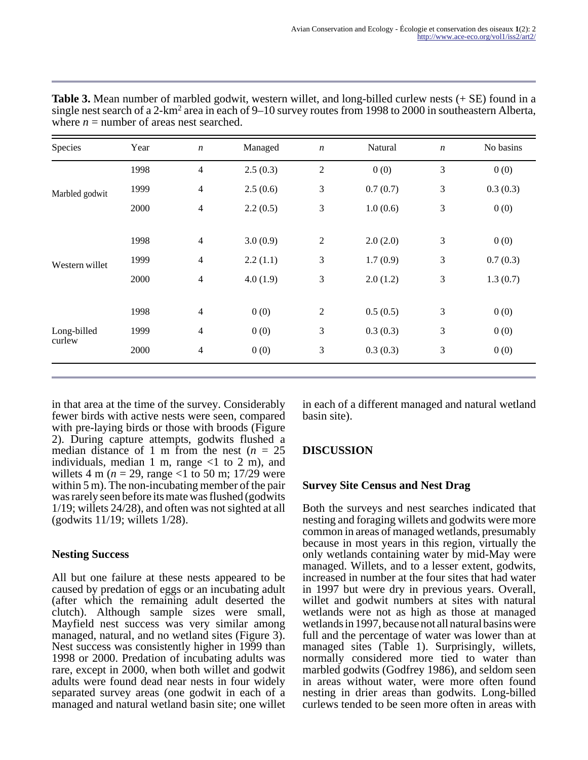| Species        | Year | $\boldsymbol{n}$         | Managed  | $\boldsymbol{n}$ | Natural  | $\boldsymbol{n}$ | No basins |
|----------------|------|--------------------------|----------|------------------|----------|------------------|-----------|
|                | 1998 | $\overline{\mathcal{L}}$ | 2.5(0.3) | $\overline{2}$   | 0(0)     | 3                | 0(0)      |
| Marbled godwit | 1999 | $\overline{4}$           | 2.5(0.6) | 3                | 0.7(0.7) | 3                | 0.3(0.3)  |
|                | 2000 | $\overline{4}$           | 2.2(0.5) | 3                | 1.0(0.6) | 3                | 0(0)      |
|                | 1998 | $\overline{4}$           | 3.0(0.9) | $\sqrt{2}$       | 2.0(2.0) | 3                | 0(0)      |
| Western willet | 1999 | $\overline{\mathcal{L}}$ | 2.2(1.1) | 3                | 1.7(0.9) | 3                | 0.7(0.3)  |
|                | 2000 | 4                        | 4.0(1.9) | 3                | 2.0(1.2) | 3                | 1.3(0.7)  |
|                | 1998 | $\overline{\mathcal{L}}$ | 0(0)     | $\overline{c}$   | 0.5(0.5) | 3                | 0(0)      |
| Long-billed    | 1999 | 4                        | 0(0)     | 3                | 0.3(0.3) | 3                | 0(0)      |
| curlew         | 2000 | 4                        | 0(0)     | 3                | 0.3(0.3) | 3                | 0(0)      |

**Table 3.** Mean number of marbled godwit, western willet, and long-billed curlew nests (+ SE) found in a single nest search of a 2-km<sup>2</sup> area in each of 9–10 survey routes from 1998 to 2000 in southeastern Alberta, where  $n =$  number of areas nest searched.

in that area at the time of the survey. Considerably fewer birds with active nests were seen, compared with pre-laying birds or those with broods (Figure 2). During capture attempts, godwits flushed a median distance of 1 m from the nest  $(n = 25)$ individuals, median 1 m, range  $\langle$ 1 to 2 m), and willets 4 m ( $n = 29$ , range <1 to 50 m; 17/29 were within 5 m). The non-incubating member of the pair was rarely seen before its mate was flushed (godwits 1/19; willets 24/28), and often was not sighted at all (godwits 11/19; willets 1/28).

# **Nesting Success**

All but one failure at these nests appeared to be caused by predation of eggs or an incubating adult (after which the remaining adult deserted the clutch). Although sample sizes were small, Mayfield nest success was very similar among managed, natural, and no wetland sites (Figure 3). Nest success was consistently higher in 1999 than 1998 or 2000. Predation of incubating adults was rare, except in 2000, when both willet and godwit adults were found dead near nests in four widely separated survey areas (one godwit in each of a managed and natural wetland basin site; one willet

in each of a different managed and natural wetland basin site).

# **DISCUSSION**

# **Survey Site Census and Nest Drag**

Both the surveys and nest searches indicated that nesting and foraging willets and godwits were more common in areas of managed wetlands, presumably because in most years in this region, virtually the only wetlands containing water by mid-May were managed. Willets, and to a lesser extent, godwits, increased in number at the four sites that had water in 1997 but were dry in previous years. Overall, willet and godwit numbers at sites with natural wetlands were not as high as those at managed wetlands in 1997, because not all natural basins were full and the percentage of water was lower than at managed sites (Table 1). Surprisingly, willets, normally considered more tied to water than marbled godwits (Godfrey 1986), and seldom seen in areas without water, were more often found nesting in drier areas than godwits. Long-billed curlews tended to be seen more often in areas with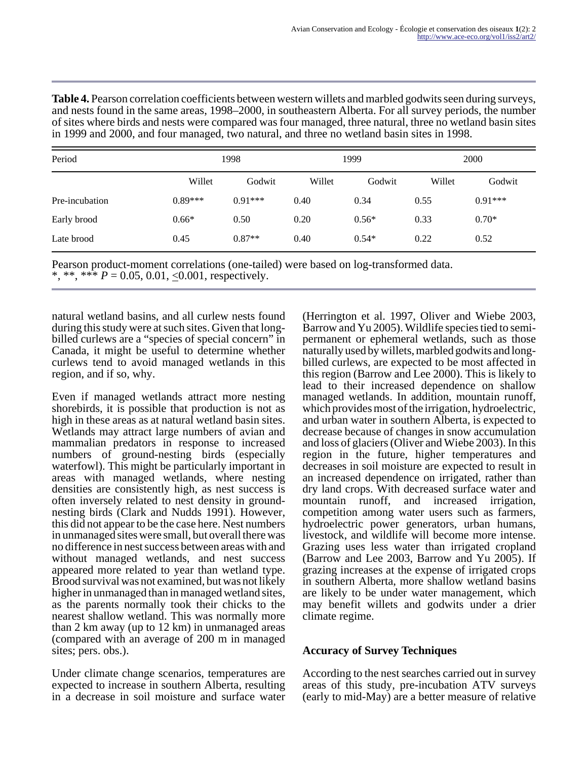**Table 4.** Pearson correlation coefficients between western willets and marbled godwits seen during surveys, and nests found in the same areas, 1998–2000, in southeastern Alberta. For all survey periods, the number of sites where birds and nests were compared was four managed, three natural, three no wetland basin sites in 1999 and 2000, and four managed, two natural, and three no wetland basin sites in 1998.

| Period         |           | 1998      |        | 1999    | 2000   |           |  |
|----------------|-----------|-----------|--------|---------|--------|-----------|--|
|                | Willet    | Godwit    | Willet | Godwit  | Willet | Godwit    |  |
| Pre-incubation | $0.89***$ | $0.91***$ | 0.40   | 0.34    | 0.55   | $0.91***$ |  |
| Early brood    | $0.66*$   | 0.50      | 0.20   | $0.56*$ | 0.33   | $0.70*$   |  |
| Late brood     | 0.45      | $0.87**$  | 0.40   | $0.54*$ | 0.22   | 0.52      |  |

Pearson product-moment correlations (one-tailed) were based on log-transformed data. \*, \*\*, \*\*\*  $P = 0.05, 0.01, \le 0.001$ , respectively.

natural wetland basins, and all curlew nests found during this study were at such sites. Given that longbilled curlews are a "species of special concern" in Canada, it might be useful to determine whether curlews tend to avoid managed wetlands in this region, and if so, why.

Even if managed wetlands attract more nesting shorebirds, it is possible that production is not as high in these areas as at natural wetland basin sites. Wetlands may attract large numbers of avian and mammalian predators in response to increased numbers of ground-nesting birds (especially waterfowl). This might be particularly important in areas with managed wetlands, where nesting densities are consistently high, as nest success is often inversely related to nest density in groundnesting birds (Clark and Nudds 1991). However, this did not appear to be the case here. Nest numbers in unmanaged sites were small, but overall there was no difference in nest success between areas with and without managed wetlands, and nest success appeared more related to year than wetland type. Brood survival was not examined, but was not likely higher in unmanaged than in managed wetland sites, as the parents normally took their chicks to the nearest shallow wetland. This was normally more than 2 km away (up to 12 km) in unmanaged areas (compared with an average of 200 m in managed sites; pers. obs.).

Under climate change scenarios, temperatures are expected to increase in southern Alberta, resulting in a decrease in soil moisture and surface water

(Herrington et al. 1997, Oliver and Wiebe 2003, Barrow and Yu 2005). Wildlife species tied to semipermanent or ephemeral wetlands, such as those naturally used by willets, marbled godwits and longbilled curlews, are expected to be most affected in this region (Barrow and Lee 2000). This is likely to lead to their increased dependence on shallow managed wetlands. In addition, mountain runoff, which provides most of the irrigation, hydroelectric, and urban water in southern Alberta, is expected to decrease because of changes in snow accumulation and loss of glaciers (Oliver and Wiebe 2003). In this region in the future, higher temperatures and decreases in soil moisture are expected to result in an increased dependence on irrigated, rather than dry land crops. With decreased surface water and mountain runoff, and increased irrigation, competition among water users such as farmers, hydroelectric power generators, urban humans, livestock, and wildlife will become more intense. Grazing uses less water than irrigated cropland (Barrow and Lee 2003, Barrow and Yu 2005). If grazing increases at the expense of irrigated crops in southern Alberta, more shallow wetland basins are likely to be under water management, which may benefit willets and godwits under a drier climate regime.

# **Accuracy of Survey Techniques**

According to the nest searches carried out in survey areas of this study, pre-incubation ATV surveys (early to mid-May) are a better measure of relative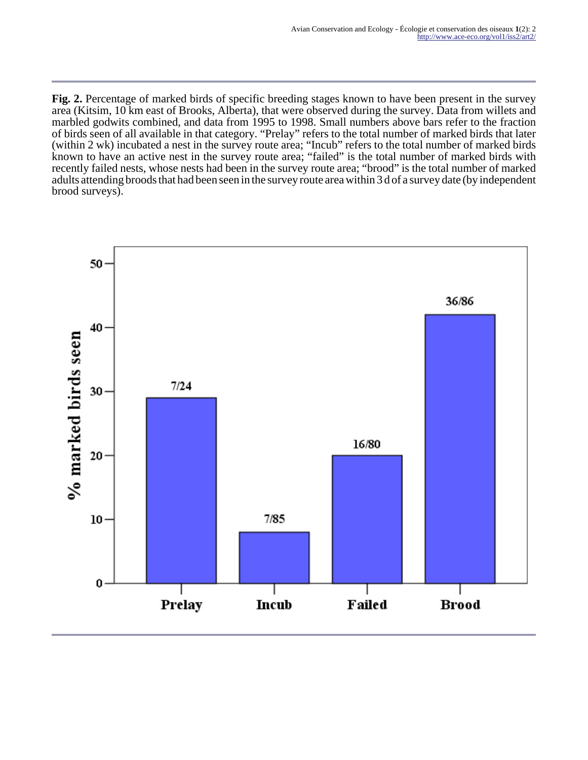**Fig. 2.** Percentage of marked birds of specific breeding stages known to have been present in the survey area (Kitsim, 10 km east of Brooks, Alberta), that were observed during the survey. Data from willets and marbled godwits combined, and data from 1995 to 1998. Small numbers above bars refer to the fraction of birds seen of all available in that category. "Prelay" refers to the total number of marked birds that later (within 2 wk) incubated a nest in the survey route area; "Incub" refers to the total number of marked birds known to have an active nest in the survey route area; "failed" is the total number of marked birds with recently failed nests, whose nests had been in the survey route area; "brood" is the total number of marked adults attending broods that had been seen in the survey route area within 3 d of a survey date (by independent brood surveys).

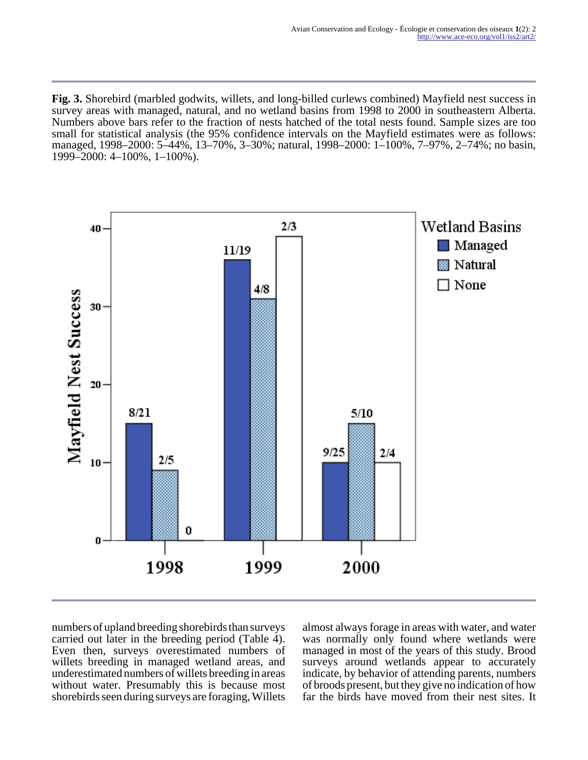**Fig. 3.** Shorebird (marbled godwits, willets, and long-billed curlews combined) Mayfield nest success in survey areas with managed, natural, and no wetland basins from 1998 to 2000 in southeastern Alberta. Numbers above bars refer to the fraction of nests hatched of the total nests found. Sample sizes are too small for statistical analysis (the 95% confidence intervals on the Mayfield estimates were as follows: managed, 1998–2000: 5–44%, 13–70%, 3–30%; natural, 1998–2000: 1–100%, 7–97%, 2–74%; no basin, 1999–2000: 4–100%, 1–100%).



numbers of upland breeding shorebirds than surveys carried out later in the breeding period (Table 4). Even then, surveys overestimated numbers of willets breeding in managed wetland areas, and underestimated numbers of willets breeding in areas without water. Presumably this is because most shorebirds seen during surveys are foraging, Willets

almost always forage in areas with water, and water was normally only found where wetlands were managed in most of the years of this study. Brood surveys around wetlands appear to accurately indicate, by behavior of attending parents, numbers of broods present, but they give no indication of how far the birds have moved from their nest sites. It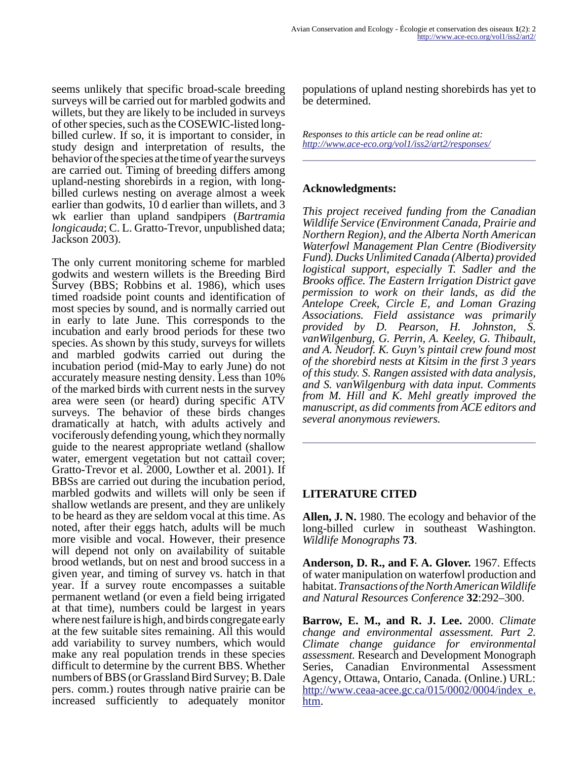seems unlikely that specific broad-scale breeding surveys will be carried out for marbled godwits and willets, but they are likely to be included in surveys of other species, such as the COSEWIC-listed longbilled curlew. If so, it is important to consider, in study design and interpretation of results, the behavior of the species at the time of year the surveys are carried out. Timing of breeding differs among upland-nesting shorebirds in a region, with longbilled curlews nesting on average almost a week earlier than godwits, 10 d earlier than willets, and 3 wk earlier than upland sandpipers (*Bartramia longicauda*; C. L. Gratto-Trevor, unpublished data; Jackson 2003).

The only current monitoring scheme for marbled godwits and western willets is the Breeding Bird Survey (BBS; Robbins et al. 1986), which uses timed roadside point counts and identification of most species by sound, and is normally carried out in early to late June. This corresponds to the incubation and early brood periods for these two species. As shown by this study, surveys for willets and marbled godwits carried out during the incubation period (mid-May to early June) do not accurately measure nesting density. Less than 10% of the marked birds with current nests in the survey area were seen (or heard) during specific ATV surveys. The behavior of these birds changes dramatically at hatch, with adults actively and vociferously defending young, which they normally guide to the nearest appropriate wetland (shallow water, emergent vegetation but not cattail cover; Gratto-Trevor et al. 2000, Lowther et al. 2001). If BBSs are carried out during the incubation period, marbled godwits and willets will only be seen if shallow wetlands are present, and they are unlikely to be heard as they are seldom vocal at this time. As noted, after their eggs hatch, adults will be much more visible and vocal. However, their presence will depend not only on availability of suitable brood wetlands, but on nest and brood success in a given year, and timing of survey vs. hatch in that year. If a survey route encompasses a suitable permanent wetland (or even a field being irrigated at that time), numbers could be largest in years where nest failure is high, and birds congregate early at the few suitable sites remaining. All this would add variability to survey numbers, which would make any real population trends in these species difficult to determine by the current BBS. Whether numbers of BBS (or Grassland Bird Survey; B. Dale pers. comm.) routes through native prairie can be increased sufficiently to adequately monitor

populations of upland nesting shorebirds has yet to be determined.

*Responses to this article can be read online at: <http://www.ace-eco.org/vol1/iss2/art2/responses/>*

# **Acknowledgments:**

*This project received funding from the Canadian Wildlife Service (Environment Canada, Prairie and Northern Region), and the Alberta North American Waterfowl Management Plan Centre (Biodiversity Fund). Ducks Unlimited Canada (Alberta) provided logistical support, especially T. Sadler and the Brooks office. The Eastern Irrigation District gave permission to work on their lands, as did the Antelope Creek, Circle E, and Loman Grazing Associations. Field assistance was primarily provided by D. Pearson, H. Johnston, S. vanWilgenburg, G. Perrin, A. Keeley, G. Thibault, and A. Neudorf. K. Guyn's pintail crew found most of the shorebird nests at Kitsim in the first 3 years of this study. S. Rangen assisted with data analysis, and S. vanWilgenburg with data input. Comments from M. Hill and K. Mehl greatly improved the manuscript, as did comments from ACE editors and several anonymous reviewers.*

# **LITERATURE CITED**

**Allen, J. N.** 1980. The ecology and behavior of the long-billed curlew in southeast Washington. *Wildlife Monographs* **73**.

**Anderson, D. R., and F. A. Glover.** 1967. Effects of water manipulation on waterfowl production and habitat. *Transactions of the North American Wildlife and Natural Resources Conference* **32**:292–300.

**Barrow, E. M., and R. J. Lee.** 2000. *Climate change and environmental assessment. Part 2. Climate change guidance for environmental assessment.* Research and Development Monograph Series, Canadian Environmental Assessment Agency, Ottawa, Ontario, Canada. (Online.) URL: [http://www.ceaa-acee.gc.ca/015/0002/0004/index\\_e.](http://www.ceaa-acee.gc.ca/015/0002/0004/index_e.htm) htm.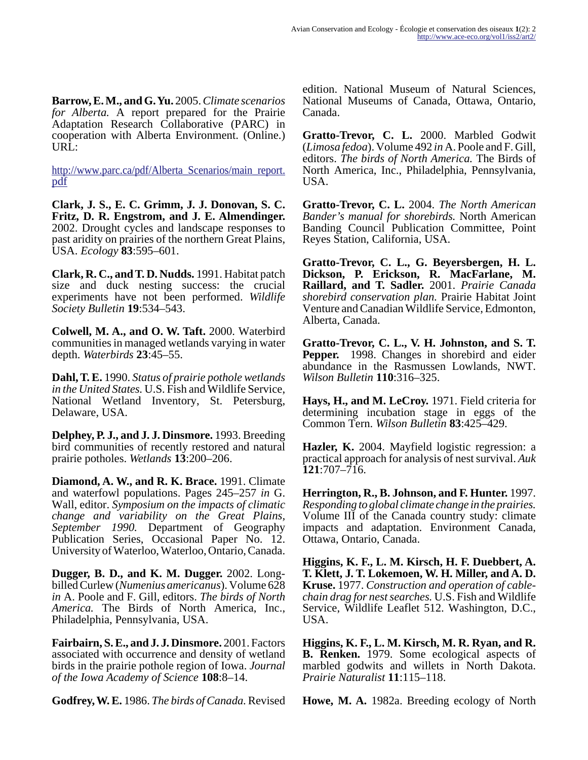**Barrow, E. M., and G. Yu.** 2005. *Climate scenarios for Alberta.* A report prepared for the Prairie Adaptation Research Collaborative (PARC) in cooperation with Alberta Environment. (Online.) URL:

[http://www.parc.ca/pdf/Alberta\\_Scenarios/main\\_report.](http://www.parc.ca/pdf/Alberta_Scenarios/main_report.pdf) pdf

**Clark, J. S., E. C. Grimm, J. J. Donovan, S. C. Fritz, D. R. Engstrom, and J. E. Almendinger.** 2002. Drought cycles and landscape responses to past aridity on prairies of the northern Great Plains, USA. *Ecology* **83**:595–601.

**Clark, R. C., and T. D. Nudds.** 1991. Habitat patch size and duck nesting success: the crucial experiments have not been performed. *Wildlife Society Bulletin* **19**:534–543.

**Colwell, M. A., and O. W. Taft.** 2000. Waterbird communities in managed wetlands varying in water depth. *Waterbirds* **23**:45–55.

**Dahl, T. E.** 1990. *Status of prairie pothole wetlands in the United States.* U.S. Fish and Wildlife Service, National Wetland Inventory, St. Petersburg, Delaware, USA.

**Delphey, P. J., and J. J. Dinsmore.** 1993. Breeding bird communities of recently restored and natural prairie potholes. *Wetlands* **13**:200–206.

**Diamond, A. W., and R. K. Brace.** 1991. Climate and waterfowl populations. Pages 245–257 *in* G. Wall, editor. *Symposium on the impacts of climatic change and variability on the Great Plains, September 1990.* Department of Geography Publication Series, Occasional Paper No. 12. University of Waterloo, Waterloo, Ontario, Canada.

**Dugger, B. D., and K. M. Dugger.** 2002. Longbilled Curlew (*Numenius americanus*). Volume 628 *in* A. Poole and F. Gill, editors. *The birds of North America.* The Birds of North America, Inc., Philadelphia, Pennsylvania, USA.

**Fairbairn, S. E., and J. J. Dinsmore.** 2001. Factors associated with occurrence and density of wetland birds in the prairie pothole region of Iowa. *Journal of the Iowa Academy of Science* **108**:8–14.

**Godfrey, W. E.** 1986. *The birds of Canada.* Revised

edition. National Museum of Natural Sciences, National Museums of Canada, Ottawa, Ontario, Canada.

**Gratto-Trevor, C. L.** 2000. Marbled Godwit (*Limosa fedoa*). Volume 492 *in* A. Poole and F. Gill, editors. *The birds of North America.* The Birds of North America, Inc., Philadelphia, Pennsylvania, USA.

**Gratto-Trevor, C. L.** 2004. *The North American Bander's manual for shorebirds.* North American Banding Council Publication Committee, Point Reyes Station, California, USA.

**Gratto-Trevor, C. L., G. Beyersbergen, H. L. Dickson, P. Erickson, R. MacFarlane, M. Raillard, and T. Sadler.** 2001. *Prairie Canada shorebird conservation plan.* Prairie Habitat Joint Venture and Canadian Wildlife Service, Edmonton, Alberta, Canada.

**Gratto-Trevor, C. L., V. H. Johnston, and S. T. Pepper.** 1998. Changes in shorebird and eider abundance in the Rasmussen Lowlands, NWT. *Wilson Bulletin* **110**:316–325.

**Hays, H., and M. LeCroy.** 1971. Field criteria for determining incubation stage in eggs of the Common Tern. *Wilson Bulletin* **83**:425–429.

**Hazler, K.** 2004. Mayfield logistic regression: a practical approach for analysis of nest survival. *Auk* **121**:707–716.

**Herrington, R., B. Johnson, and F. Hunter.** 1997. *Responding to global climate change in the prairies.* Volume III of the Canada country study: climate impacts and adaptation. Environment Canada, Ottawa, Ontario, Canada.

**Higgins, K. F., L. M. Kirsch, H. F. Duebbert, A. T. Klett, J. T. Lokemoen, W. H. Miller, and A. D. Kruse.** 1977. *Construction and operation of cablechain drag for nest searches.* U.S. Fish and Wildlife Service, Wildlife Leaflet 512. Washington, D.C., USA.

**Higgins, K. F., L. M. Kirsch, M. R. Ryan, and R. B. Renken.** 1979. Some ecological aspects of marbled godwits and willets in North Dakota. *Prairie Naturalist* **11**:115–118.

**Howe, M. A.** 1982a. Breeding ecology of North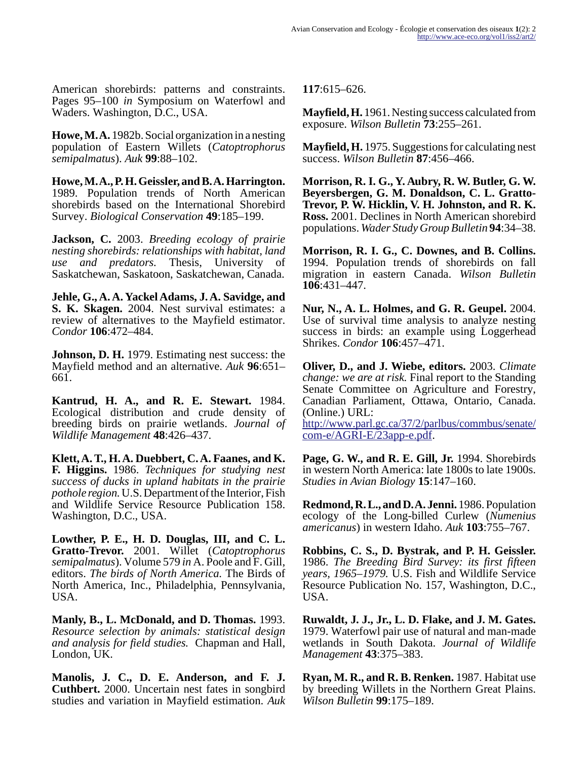American shorebirds: patterns and constraints. Pages 95–100 *in* Symposium on Waterfowl and Waders. Washington, D.C., USA.

**Howe, M. A.** 1982b. Social organization in a nesting population of Eastern Willets (*Catoptrophorus semipalmatus*). *Auk* **99**:88–102.

**Howe, M. A., P. H. Geissler, and B. A. Harrington.** 1989. Population trends of North American shorebirds based on the International Shorebird Survey. *Biological Conservation* **49**:185–199.

**Jackson, C.** 2003. *Breeding ecology of prairie nesting shorebirds: relationships with habitat, land use and predators.* Thesis, University of Saskatchewan, Saskatoon, Saskatchewan, Canada.

**Jehle, G., A. A. Yackel Adams, J. A. Savidge, and S. K. Skagen.** 2004. Nest survival estimates: a review of alternatives to the Mayfield estimator. *Condor* **106**:472–484.

**Johnson, D. H.** 1979. Estimating nest success: the Mayfield method and an alternative. *Auk* **96**:651– 661.

**Kantrud, H. A., and R. E. Stewart.** 1984. Ecological distribution and crude density of breeding birds on prairie wetlands. *Journal of Wildlife Management* **48**:426–437.

**Klett, A. T., H. A. Duebbert, C. A. Faanes, and K. F. Higgins.** 1986. *Techniques for studying nest success of ducks in upland habitats in the prairie pothole region.* U.S. Department of the Interior, Fish and Wildlife Service Resource Publication 158. Washington, D.C., USA.

**Lowther, P. E., H. D. Douglas, III, and C. L. Gratto-Trevor.** 2001. Willet (*Catoptrophorus semipalmatus*). Volume 579 *in* A. Poole and F. Gill, editors. *The birds of North America.* The Birds of North America, Inc., Philadelphia, Pennsylvania, USA.

**Manly, B., L. McDonald, and D. Thomas.** 1993. *Resource selection by animals: statistical design and analysis for field studies.* Chapman and Hall, London, UK.

**Manolis, J. C., D. E. Anderson, and F. J. Cuthbert.** 2000. Uncertain nest fates in songbird studies and variation in Mayfield estimation. *Auk* **117**:615–626.

**Mayfield, H.** 1961. Nesting success calculated from exposure. *Wilson Bulletin* **73**:255–261.

**Mayfield, H.** 1975. Suggestions for calculating nest success. *Wilson Bulletin* **87**:456–466.

**Morrison, R. I. G., Y. Aubry, R. W. Butler, G. W. Beyersbergen, G. M. Donaldson, C. L. Gratto-Trevor, P. W. Hicklin, V. H. Johnston, and R. K. Ross.** 2001. Declines in North American shorebird populations. *Wader Study Group Bulletin* **94**:34–38.

**Morrison, R. I. G., C. Downes, and B. Collins.** 1994. Population trends of shorebirds on fall migration in eastern Canada. *Wilson Bulletin* **106**:431–447.

**Nur, N., A. L. Holmes, and G. R. Geupel.** 2004. Use of survival time analysis to analyze nesting success in birds: an example using Loggerhead Shrikes. *Condor* **106**:457–471.

**Oliver, D., and J. Wiebe, editors.** 2003. *Climate change: we are at risk.* Final report to the Standing Senate Committee on Agriculture and Forestry, Canadian Parliament, Ottawa, Ontario, Canada. (Online.) URL:

http://www.parl.gc.ca/37/2/parlbus/commbus/senate/ [com-e/AGRI-E/23app-e.pdf.](http://www.parl.gc.ca/37/2/parlbus/commbus/senate/com-e/AGRI-E/23app-e.pdf)

**Page, G. W., and R. E. Gill, Jr.** 1994. Shorebirds in western North America: late 1800s to late 1900s. *Studies in Avian Biology* **15**:147–160.

**Redmond, R. L., and D. A. Jenni.** 1986. Population ecology of the Long-billed Curlew (*Numenius americanus*) in western Idaho. *Auk* **103**:755–767.

**Robbins, C. S., D. Bystrak, and P. H. Geissler.** 1986. *The Breeding Bird Survey: its first fifteen years, 1965–1979.* U.S. Fish and Wildlife Service Resource Publication No. 157, Washington, D.C., USA.

**Ruwaldt, J. J., Jr., L. D. Flake, and J. M. Gates.** 1979. Waterfowl pair use of natural and man-made wetlands in South Dakota. *Journal of Wildlife Management* **43**:375–383.

**Ryan, M. R., and R. B. Renken.** 1987. Habitat use by breeding Willets in the Northern Great Plains. *Wilson Bulletin* **99**:175–189.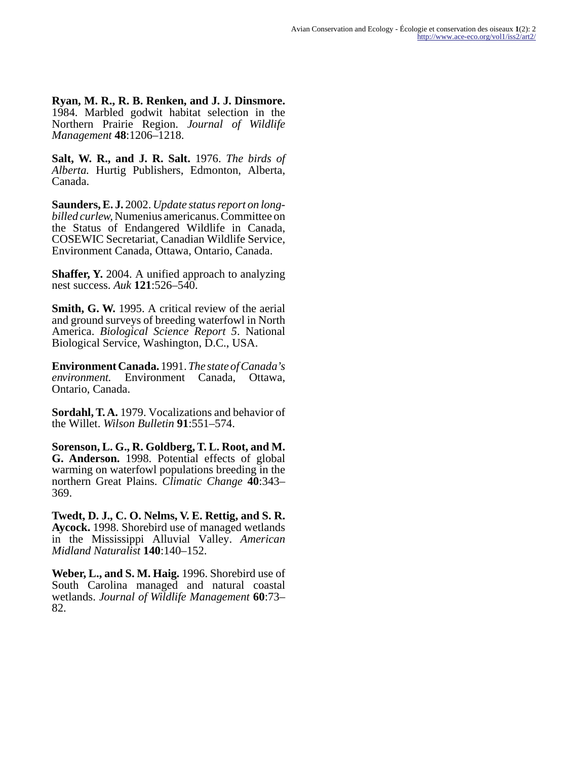**Ryan, M. R., R. B. Renken, and J. J. Dinsmore.** 1984. Marbled godwit habitat selection in the Northern Prairie Region. *Journal of Wildlife Management* **48**:1206–1218.

**Salt, W. R., and J. R. Salt.** 1976. *The birds of Alberta.* Hurtig Publishers, Edmonton, Alberta, Canada.

**Saunders, E. J.** 2002. *Update status report on longbilled curlew,* Numenius americanus. Committee on the Status of Endangered Wildlife in Canada, COSEWIC Secretariat, Canadian Wildlife Service, Environment Canada, Ottawa, Ontario, Canada.

**Shaffer, Y.** 2004. A unified approach to analyzing nest success. *Auk* **121**:526–540.

**Smith, G. W.** 1995. A critical review of the aerial and ground surveys of breeding waterfowl in North America. *Biological Science Report 5*. National Biological Service, Washington, D.C., USA.

**Environment Canada.** 1991. *The state of Canada's environment.* Environment Canada, Ottawa, Ontario, Canada.

**Sordahl, T. A.** 1979. Vocalizations and behavior of the Willet. *Wilson Bulletin* **91**:551–574.

**Sorenson, L. G., R. Goldberg, T. L. Root, and M. G. Anderson.** 1998. Potential effects of global warming on waterfowl populations breeding in the northern Great Plains. *Climatic Change* **40**:343– 369.

**Twedt, D. J., C. O. Nelms, V. E. Rettig, and S. R. Aycock.** 1998. Shorebird use of managed wetlands in the Mississippi Alluvial Valley. *American Midland Naturalist* **140**:140–152.

**Weber, L., and S. M. Haig.** 1996. Shorebird use of South Carolina managed and natural coastal wetlands. *Journal of Wildlife Management* **60**:73– 82.